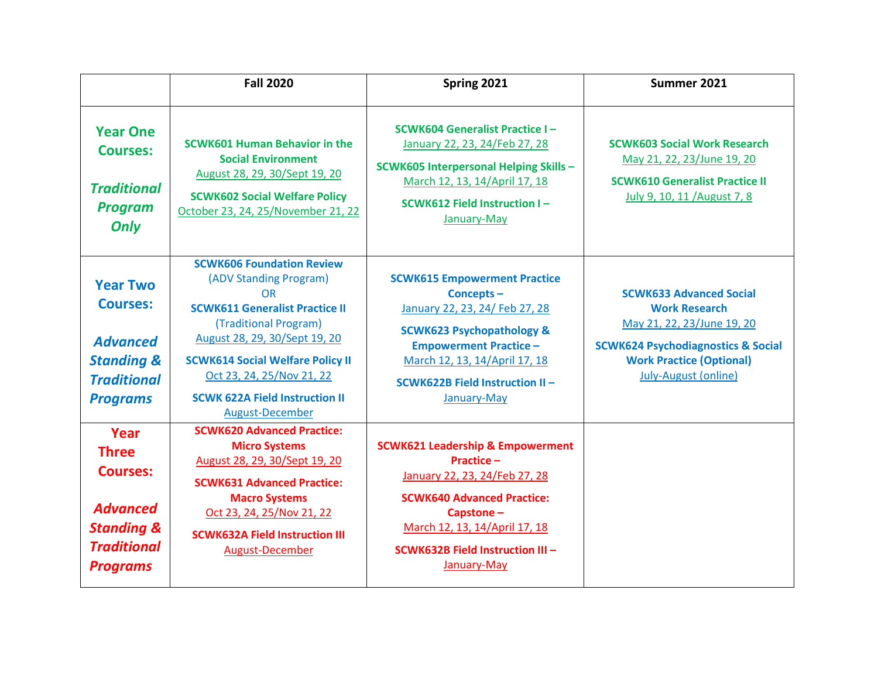|                                                                                                                              | <b>Fall 2020</b>                                                                                                                                                                                                                                                                                               | Spring 2021                                                                                                                                                                                                                                   | Summer 2021                                                                                                                                                                                             |
|------------------------------------------------------------------------------------------------------------------------------|----------------------------------------------------------------------------------------------------------------------------------------------------------------------------------------------------------------------------------------------------------------------------------------------------------------|-----------------------------------------------------------------------------------------------------------------------------------------------------------------------------------------------------------------------------------------------|---------------------------------------------------------------------------------------------------------------------------------------------------------------------------------------------------------|
| <b>Year One</b><br><b>Courses:</b><br><b>Traditional</b><br><b>Program</b><br>Only                                           | <b>SCWK601 Human Behavior in the</b><br><b>Social Environment</b><br>August 28, 29, 30/Sept 19, 20<br><b>SCWK602 Social Welfare Policy</b><br>October 23, 24, 25/November 21, 22                                                                                                                               | <b>SCWK604 Generalist Practice I-</b><br>January 22, 23, 24/Feb 27, 28<br><b>SCWK605 Interpersonal Helping Skills -</b><br>March 12, 13, 14/April 17, 18<br><b>SCWK612 Field Instruction I-</b><br>January-May                                | <b>SCWK603 Social Work Research</b><br>May 21, 22, 23/June 19, 20<br><b>SCWK610 Generalist Practice II</b><br>July 9, 10, 11 / August 7, 8                                                              |
| <b>Year Two</b><br><b>Courses:</b><br><b>Advanced</b><br><b>Standing &amp;</b><br><b>Traditional</b><br><b>Programs</b>      | <b>SCWK606 Foundation Review</b><br>(ADV Standing Program)<br><b>OR</b><br><b>SCWK611 Generalist Practice II</b><br>(Traditional Program)<br>August 28, 29, 30/Sept 19, 20<br><b>SCWK614 Social Welfare Policy II</b><br>Oct 23, 24, 25/Nov 21, 22<br><b>SCWK 622A Field Instruction II</b><br>August-December | <b>SCWK615 Empowerment Practice</b><br>Concepts-<br>January 22, 23, 24/ Feb 27, 28<br><b>SCWK623 Psychopathology &amp;</b><br><b>Empowerment Practice -</b><br>March 12, 13, 14/April 17, 18<br>SCWK622B Field Instruction II-<br>January-May | <b>SCWK633 Advanced Social</b><br><b>Work Research</b><br>May 21, 22, 23/June 19, 20<br><b>SCWK624 Psychodiagnostics &amp; Social</b><br><b>Work Practice (Optional)</b><br><b>July-August (online)</b> |
| Year<br><b>Three</b><br><b>Courses:</b><br><b>Advanced</b><br><b>Standing &amp;</b><br><b>Traditional</b><br><b>Programs</b> | <b>SCWK620 Advanced Practice:</b><br><b>Micro Systems</b><br>August 28, 29, 30/Sept 19, 20<br><b>SCWK631 Advanced Practice:</b><br><b>Macro Systems</b><br>Oct 23, 24, 25/Nov 21, 22<br><b>SCWK632A Field Instruction III</b><br>August-December                                                               | <b>SCWK621 Leadership &amp; Empowerment</b><br><b>Practice -</b><br>January 22, 23, 24/Feb 27, 28<br><b>SCWK640 Advanced Practice:</b><br>Capstone-<br>March 12, 13, 14/April 17, 18<br>SCWK632B Field Instruction III -<br>January-May       |                                                                                                                                                                                                         |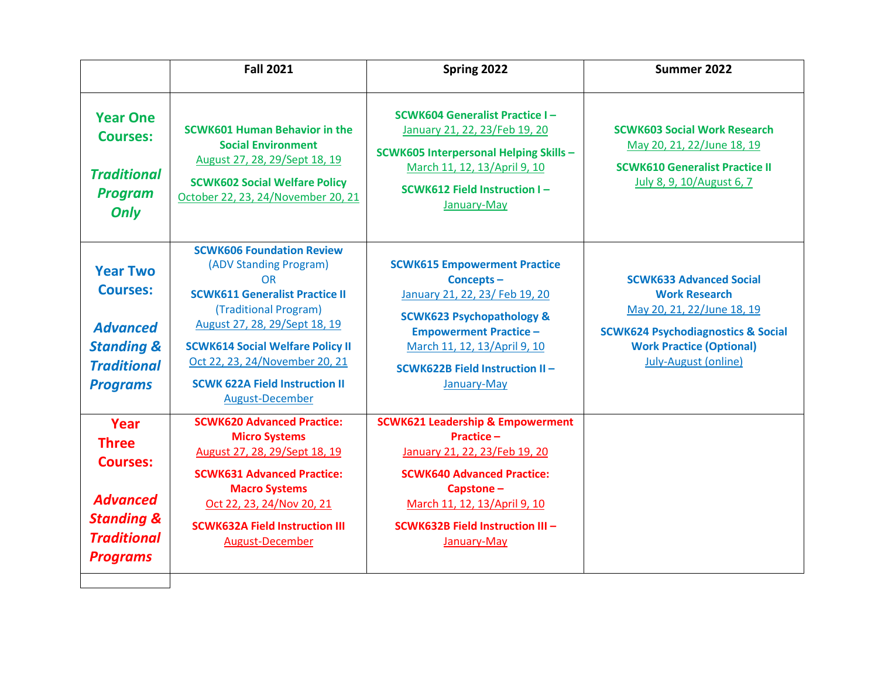|                                                                                                                              | <b>Fall 2021</b>                                                                                                                                                                                                                                                                                                    | Spring 2022                                                                                                                                                                                                                                         | Summer 2022                                                                                                                                                                                             |
|------------------------------------------------------------------------------------------------------------------------------|---------------------------------------------------------------------------------------------------------------------------------------------------------------------------------------------------------------------------------------------------------------------------------------------------------------------|-----------------------------------------------------------------------------------------------------------------------------------------------------------------------------------------------------------------------------------------------------|---------------------------------------------------------------------------------------------------------------------------------------------------------------------------------------------------------|
| <b>Year One</b><br><b>Courses:</b><br><b>Traditional</b><br><b>Program</b><br>Only                                           | <b>SCWK601 Human Behavior in the</b><br><b>Social Environment</b><br>August 27, 28, 29/Sept 18, 19<br><b>SCWK602 Social Welfare Policy</b><br>October 22, 23, 24/November 20, 21                                                                                                                                    | <b>SCWK604 Generalist Practice I-</b><br>January 21, 22, 23/Feb 19, 20<br><b>SCWK605 Interpersonal Helping Skills-</b><br>March 11, 12, 13/April 9, 10<br><b>SCWK612 Field Instruction I-</b><br>January-May                                        | <b>SCWK603 Social Work Research</b><br>May 20, 21, 22/June 18, 19<br><b>SCWK610 Generalist Practice II</b><br>July 8, 9, 10/August 6, 7                                                                 |
| <b>Year Two</b><br><b>Courses:</b><br><b>Advanced</b><br><b>Standing &amp;</b><br><b>Traditional</b><br><b>Programs</b>      | <b>SCWK606 Foundation Review</b><br>(ADV Standing Program)<br><b>OR</b><br><b>SCWK611 Generalist Practice II</b><br>(Traditional Program)<br>August 27, 28, 29/Sept 18, 19<br><b>SCWK614 Social Welfare Policy II</b><br>Oct 22, 23, 24/November 20, 21<br><b>SCWK 622A Field Instruction II</b><br>August-December | <b>SCWK615 Empowerment Practice</b><br>Concepts-<br>January 21, 22, 23/ Feb 19, 20<br><b>SCWK623 Psychopathology &amp;</b><br><b>Empowerment Practice -</b><br>March 11, 12, 13/April 9, 10<br><b>SCWK622B Field Instruction II-</b><br>January-May | <b>SCWK633 Advanced Social</b><br><b>Work Research</b><br>May 20, 21, 22/June 18, 19<br><b>SCWK624 Psychodiagnostics &amp; Social</b><br><b>Work Practice (Optional)</b><br><b>July-August (online)</b> |
| Year<br><b>Three</b><br><b>Courses:</b><br><b>Advanced</b><br><b>Standing &amp;</b><br><b>Traditional</b><br><b>Programs</b> | <b>SCWK620 Advanced Practice:</b><br><b>Micro Systems</b><br>August 27, 28, 29/Sept 18, 19<br><b>SCWK631 Advanced Practice:</b><br><b>Macro Systems</b><br>Oct 22, 23, 24/Nov 20, 21<br><b>SCWK632A Field Instruction III</b><br><b>August-December</b>                                                             | <b>SCWK621 Leadership &amp; Empowerment</b><br>Practice-<br>January 21, 22, 23/Feb 19, 20<br><b>SCWK640 Advanced Practice:</b><br>Capstone-<br>March 11, 12, 13/April 9, 10<br><b>SCWK632B Field Instruction III -</b><br>January-May               |                                                                                                                                                                                                         |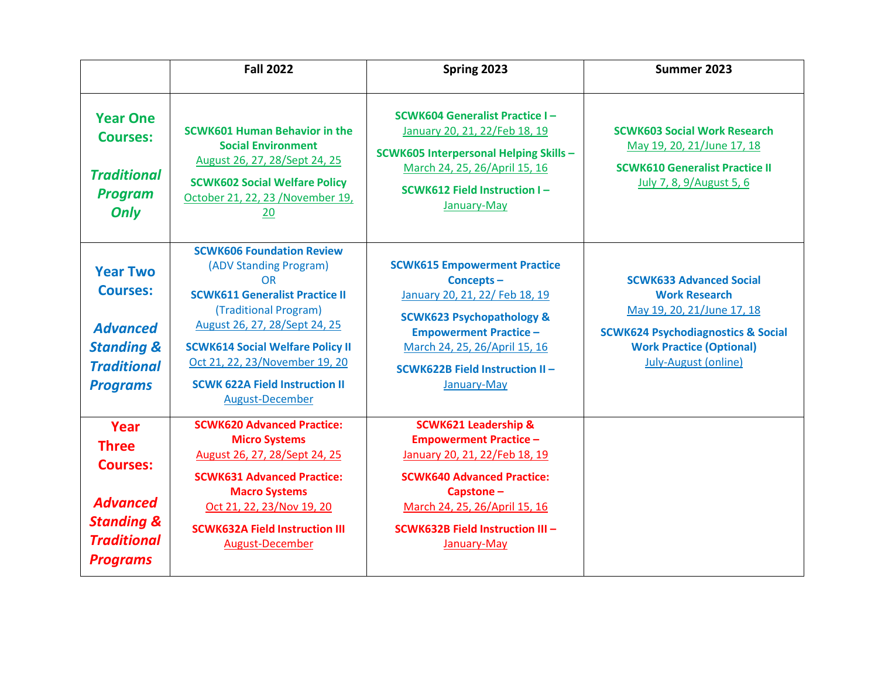|                                                                                                                              | <b>Fall 2022</b>                                                                                                                                                                                                                                                                                                    | Spring 2023                                                                                                                                                                                                                                          | Summer 2023                                                                                                                                                                                             |
|------------------------------------------------------------------------------------------------------------------------------|---------------------------------------------------------------------------------------------------------------------------------------------------------------------------------------------------------------------------------------------------------------------------------------------------------------------|------------------------------------------------------------------------------------------------------------------------------------------------------------------------------------------------------------------------------------------------------|---------------------------------------------------------------------------------------------------------------------------------------------------------------------------------------------------------|
| <b>Year One</b><br><b>Courses:</b><br><b>Traditional</b><br><b>Program</b><br>Only                                           | <b>SCWK601 Human Behavior in the</b><br><b>Social Environment</b><br>August 26, 27, 28/Sept 24, 25<br><b>SCWK602 Social Welfare Policy</b><br>October 21, 22, 23 /November 19,<br>20                                                                                                                                | <b>SCWK604 Generalist Practice I-</b><br>January 20, 21, 22/Feb 18, 19<br><b>SCWK605 Interpersonal Helping Skills -</b><br>March 24, 25, 26/April 15, 16<br>SCWK612 Field Instruction I-<br>January-May                                              | <b>SCWK603 Social Work Research</b><br>May 19, 20, 21/June 17, 18<br><b>SCWK610 Generalist Practice II</b><br>July 7, 8, 9/August 5, 6                                                                  |
| <b>Year Two</b><br><b>Courses:</b><br><b>Advanced</b><br><b>Standing &amp;</b><br><b>Traditional</b><br><b>Programs</b>      | <b>SCWK606 Foundation Review</b><br>(ADV Standing Program)<br>OR<br><b>SCWK611 Generalist Practice II</b><br>(Traditional Program)<br>August 26, 27, 28/Sept 24, 25<br><b>SCWK614 Social Welfare Policy II</b><br>Oct 21, 22, 23/November 19, 20<br><b>SCWK 622A Field Instruction II</b><br><b>August-December</b> | <b>SCWK615 Empowerment Practice</b><br>Concepts-<br>January 20, 21, 22/ Feb 18, 19<br><b>SCWK623 Psychopathology &amp;</b><br><b>Empowerment Practice -</b><br>March 24, 25, 26/April 15, 16<br><b>SCWK622B Field Instruction II-</b><br>January-May | <b>SCWK633 Advanced Social</b><br><b>Work Research</b><br>May 19, 20, 21/June 17, 18<br><b>SCWK624 Psychodiagnostics &amp; Social</b><br><b>Work Practice (Optional)</b><br><b>July-August (online)</b> |
| Year<br><b>Three</b><br><b>Courses:</b><br><b>Advanced</b><br><b>Standing &amp;</b><br><b>Traditional</b><br><b>Programs</b> | <b>SCWK620 Advanced Practice:</b><br><b>Micro Systems</b><br>August 26, 27, 28/Sept 24, 25<br><b>SCWK631 Advanced Practice:</b><br><b>Macro Systems</b><br>Oct 21, 22, 23/Nov 19, 20<br><b>SCWK632A Field Instruction III</b><br>August-December                                                                    | <b>SCWK621 Leadership &amp;</b><br><b>Empowerment Practice -</b><br>January 20, 21, 22/Feb 18, 19<br><b>SCWK640 Advanced Practice:</b><br>Capstone-<br>March 24, 25, 26/April 15, 16<br>SCWK632B Field Instruction III -<br>January-May              |                                                                                                                                                                                                         |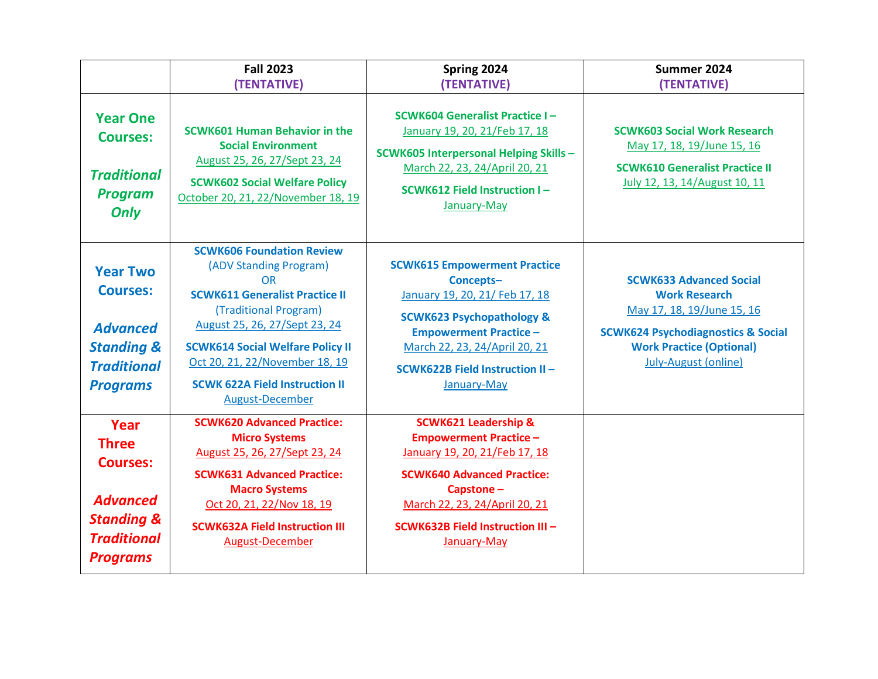|                                                                                                                              | <b>Fall 2023</b>                                                                                                                                                                                                                                                                                                           | Spring 2024                                                                                                                                                                                                                                          | Summer 2024                                                                                                                                                                                             |
|------------------------------------------------------------------------------------------------------------------------------|----------------------------------------------------------------------------------------------------------------------------------------------------------------------------------------------------------------------------------------------------------------------------------------------------------------------------|------------------------------------------------------------------------------------------------------------------------------------------------------------------------------------------------------------------------------------------------------|---------------------------------------------------------------------------------------------------------------------------------------------------------------------------------------------------------|
|                                                                                                                              | (TENTATIVE)                                                                                                                                                                                                                                                                                                                | (TENTATIVE)                                                                                                                                                                                                                                          | (TENTATIVE)                                                                                                                                                                                             |
| <b>Year One</b><br><b>Courses:</b><br><b>Traditional</b><br><b>Program</b><br>Only                                           | <b>SCWK601 Human Behavior in the</b><br><b>Social Environment</b><br>August 25, 26, 27/Sept 23, 24<br><b>SCWK602 Social Welfare Policy</b><br>October 20, 21, 22/November 18, 19                                                                                                                                           | <b>SCWK604 Generalist Practice I-</b><br>January 19, 20, 21/Feb 17, 18<br><b>SCWK605 Interpersonal Helping Skills -</b><br>March 22, 23, 24/April 20, 21<br><b>SCWK612 Field Instruction I-</b><br>January-May                                       | <b>SCWK603 Social Work Research</b><br>May 17, 18, 19/June 15, 16<br><b>SCWK610 Generalist Practice II</b><br>July 12, 13, 14/August 10, 11                                                             |
| <b>Year Two</b><br><b>Courses:</b><br><b>Advanced</b><br><b>Standing &amp;</b><br><b>Traditional</b><br><b>Programs</b>      | <b>SCWK606 Foundation Review</b><br>(ADV Standing Program)<br><b>OR</b><br><b>SCWK611 Generalist Practice II</b><br>(Traditional Program)<br>August 25, 26, 27/Sept 23, 24<br><b>SCWK614 Social Welfare Policy II</b><br>Oct 20, 21, 22/November 18, 19<br><b>SCWK 622A Field Instruction II</b><br><b>August-December</b> | <b>SCWK615 Empowerment Practice</b><br>Concepts-<br>January 19, 20, 21/ Feb 17, 18<br><b>SCWK623 Psychopathology &amp;</b><br><b>Empowerment Practice -</b><br>March 22, 23, 24/April 20, 21<br><b>SCWK622B Field Instruction II-</b><br>January-May | <b>SCWK633 Advanced Social</b><br><b>Work Research</b><br>May 17, 18, 19/June 15, 16<br><b>SCWK624 Psychodiagnostics &amp; Social</b><br><b>Work Practice (Optional)</b><br><b>July-August (online)</b> |
| Year<br><b>Three</b><br><b>Courses:</b><br><b>Advanced</b><br><b>Standing &amp;</b><br><b>Traditional</b><br><b>Programs</b> | <b>SCWK620 Advanced Practice:</b><br><b>Micro Systems</b><br>August 25, 26, 27/Sept 23, 24<br><b>SCWK631 Advanced Practice:</b><br><b>Macro Systems</b><br>Oct 20, 21, 22/Nov 18, 19<br><b>SCWK632A Field Instruction III</b><br>August-December                                                                           | <b>SCWK621 Leadership &amp;</b><br><b>Empowerment Practice -</b><br>January 19, 20, 21/Feb 17, 18<br><b>SCWK640 Advanced Practice:</b><br>Capstone-<br>March 22, 23, 24/April 20, 21<br>SCWK632B Field Instruction III -<br>January-May              |                                                                                                                                                                                                         |